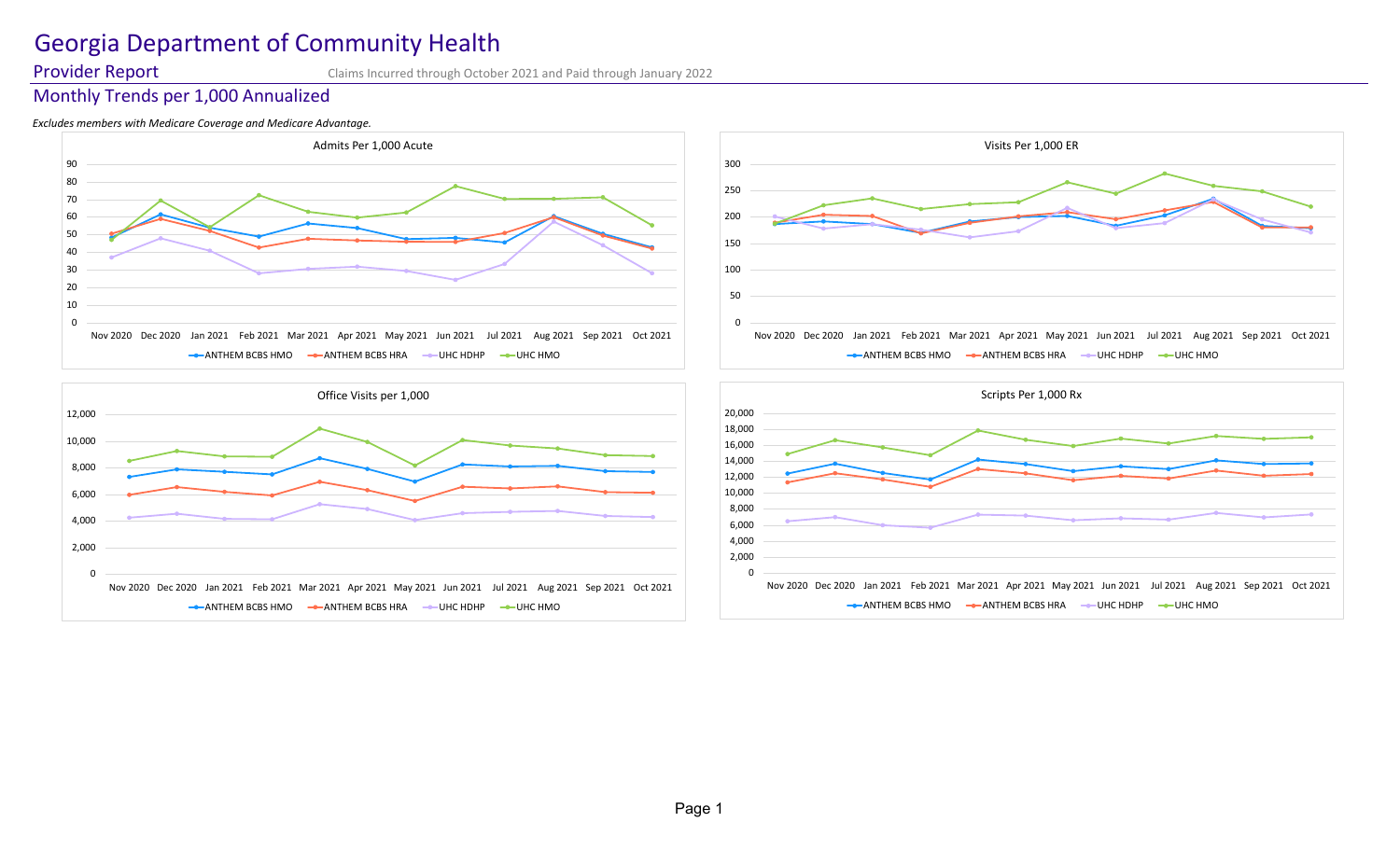# Georgia Department of Community Health

**Provider Report** Claims Incurred through October 2021 and Paid through January 2022

## Monthly Trends per 1,000 Annualized

### *Excludes members with Medicare Coverage and Medicare Advantage.*